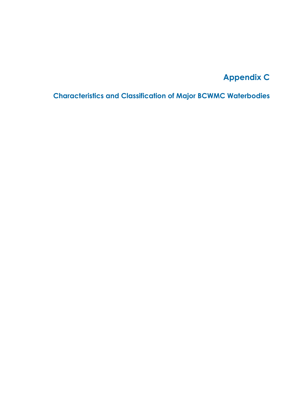## **Appendix C**

**Characteristics and Classification of Major BCWMC Waterbodies**